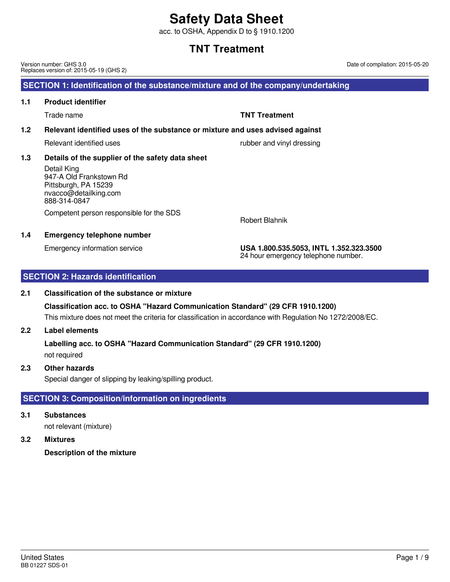acc. to OSHA, Appendix D to § 1910.1200

### **TNT Treatment**

United States BB 01227 SDS-01

Version number: GHS 3.0 Replaces version of: 2015-05-19 (GHS 2)

### **SECTION 1: Identification of the substance/mixture and of the company/undertaking**

### **1.1 Product identifier**

Trade name **TNT Treatment**

### **1.2 Relevant identified uses of the substance or mixture and uses advised against**

Relevant identified uses rubber and vinyl dressing

### **1.3 Details of the supplier of the safety data sheet**

Detail King 947-A Old Frankstown Rd Pittsburgh, PA 15239 nvacco@detailking.com 888-314-0847

Competent person responsible for the SDS

### **1.4 Emergency telephone number**

Emergency information service **USA 1.800.535.5053, INTL 1.352.323.3500** 24 hour emergency telephone number.

Robert Blahnik

### **SECTION 2: Hazards identification**

### **2.1 Classification of the substance or mixture**

This mixture does not meet the criteria for classification in accordance with Regulation No 1272/2008/EC. **Classification acc. to OSHA "Hazard Communication Standard" (29 CFR 1910.1200)**

### **2.2 Label elements**

not required **Labelling acc. to OSHA "Hazard Communication Standard" (29 CFR 1910.1200)**

### **2.3 Other hazards**

Special danger of slipping by leaking/spilling product.

### **SECTION 3: Composition/information on ingredients**

**3.1 Substances**

not relevant (mixture)

### **3.2 Mixtures**

**Description of the mixture**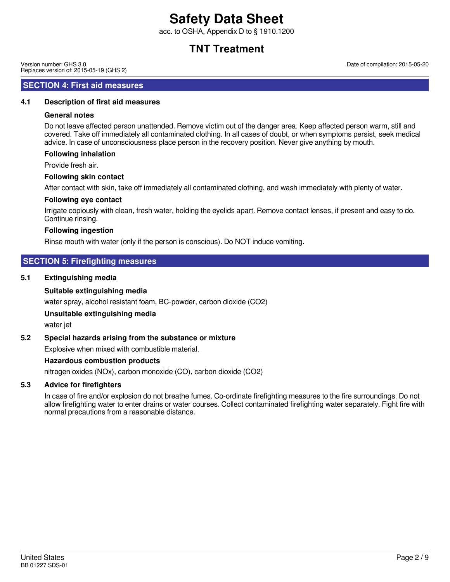acc. to OSHA, Appendix D to § 1910.1200

### **TNT Treatment**

Version number: GHS 3.0 Replaces version of: 2015-05-19 (GHS 2)

### **SECTION 4: First aid measures**

### **4.1 Description of first aid measures**

### **General notes**

Do not leave affected person unattended. Remove victim out of the danger area. Keep affected person warm, still and covered. Take off immediately all contaminated clothing. In all cases of doubt, or when symptoms persist, seek medical advice. In case of unconsciousness place person in the recovery position. Never give anything by mouth.

### **Following inhalation**

Provide fresh air.

### **Following skin contact**

After contact with skin, take off immediately all contaminated clothing, and wash immediately with plenty of water.

### **Following eye contact**

Irrigate copiously with clean, fresh water, holding the eyelids apart. Remove contact lenses, if present and easy to do. Continue rinsing.

### **Following ingestion**

Rinse mouth with water (only if the person is conscious). Do NOT induce vomiting.

### **SECTION 5: Firefighting measures**

### **5.1 Extinguishing media**

### **Suitable extinguishing media**

water spray, alcohol resistant foam, BC-powder, carbon dioxide (CO2)

### **Unsuitable extinguishing media**

water jet

### **5.2 Special hazards arising from the substance or mixture**

Explosive when mixed with combustible material.

### **Hazardous combustion products**

nitrogen oxides (NOx), carbon monoxide (CO), carbon dioxide (CO2)

### **5.3 Advice for firefighters**

In case of fire and/or explosion do not breathe fumes. Co-ordinate firefighting measures to the fire surroundings. Do not allow firefighting water to enter drains or water courses. Collect contaminated firefighting water separately. Fight fire with normal precautions from a reasonable distance.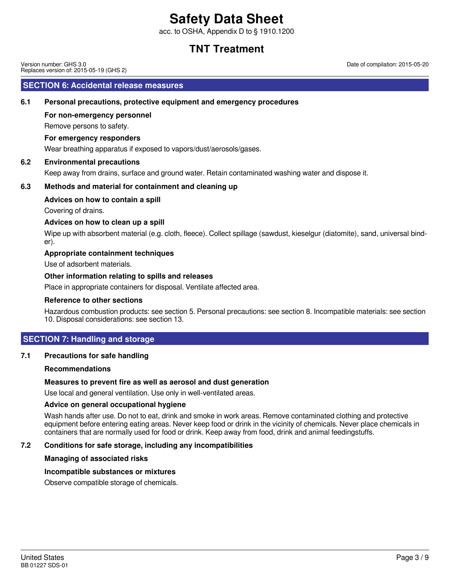acc. to OSHA, Appendix D to § 1910.1200

### **TNT Treatment**

Version number: GHS 3.0 Replaces version of: 2015-05-19 (GHS 2)

### **SECTION 6: Accidental release measures**

### **6.1 Personal precautions, protective equipment and emergency procedures**

### **For non-emergency personnel**

Remove persons to safety.

#### **For emergency responders**

Wear breathing apparatus if exposed to vapors/dust/aerosols/gases.

### **6.2 Environmental precautions**

Keep away from drains, surface and ground water. Retain contaminated washing water and dispose it.

### **6.3 Methods and material for containment and cleaning up**

### **Advices on how to contain a spill**

Covering of drains.

### **Advices on how to clean up a spill**

Wipe up with absorbent material (e.g. cloth, fleece). Collect spillage (sawdust, kieselgur (diatomite), sand, universal binder).

### **Appropriate containment techniques**

Use of adsorbent materials.

### **Other information relating to spills and releases**

Place in appropriate containers for disposal. Ventilate affected area.

#### **Reference to other sections**

Hazardous combustion products: see section 5. Personal precautions: see section 8. Incompatible materials: see section 10. Disposal considerations: see section 13.

### **SECTION 7: Handling and storage**

#### **7.1 Precautions for safe handling**

#### **Recommendations**

### **Measures to prevent fire as well as aerosol and dust generation**

Use local and general ventilation. Use only in well-ventilated areas.

#### **Advice on general occupational hygiene**

Wash hands after use. Do not to eat, drink and smoke in work areas. Remove contaminated clothing and protective equipment before entering eating areas. Never keep food or drink in the vicinity of chemicals. Never place chemicals in containers that are normally used for food or drink. Keep away from food, drink and animal feedingstuffs.

### **7.2 Conditions for safe storage, including any incompatibilities**

### **Managing of associated risks**

### **Incompatible substances or mixtures**

Observe compatible storage of chemicals.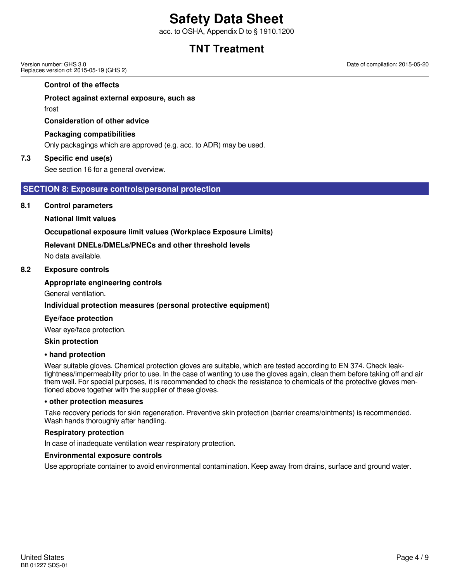acc. to OSHA, Appendix D to § 1910.1200

### **TNT Treatment**

Version number: GHS 3.0 Replaces version of: 2015-05-19 (GHS 2)

**Control of the effects**

### **Protect against external exposure, such as**

frost

**Consideration of other advice**

### **Packaging compatibilities**

Only packagings which are approved (e.g. acc. to ADR) may be used.

### **7.3 Specific end use(s)**

See section 16 for a general overview.

### **SECTION 8: Exposure controls/personal protection**

### **8.1 Control parameters**

### **National limit values**

### **Occupational exposure limit values (Workplace Exposure Limits)**

### **Relevant DNELs/DMELs/PNECs and other threshold levels**

No data available.

### **8.2 Exposure controls**

### **Appropriate engineering controls**

General ventilation.

### **Individual protection measures (personal protective equipment)**

#### **Eye/face protection**

Wear eye/face protection.

#### **Skin protection**

#### **• hand protection**

Wear suitable gloves. Chemical protection gloves are suitable, which are tested according to EN 374. Check leaktightness/impermeability prior to use. In the case of wanting to use the gloves again, clean them before taking off and air them well. For special purposes, it is recommended to check the resistance to chemicals of the protective gloves mentioned above together with the supplier of these gloves.

#### **• other protection measures**

Take recovery periods for skin regeneration. Preventive skin protection (barrier creams/ointments) is recommended. Wash hands thoroughly after handling.

#### **Respiratory protection**

In case of inadequate ventilation wear respiratory protection.

#### **Environmental exposure controls**

Use appropriate container to avoid environmental contamination. Keep away from drains, surface and ground water.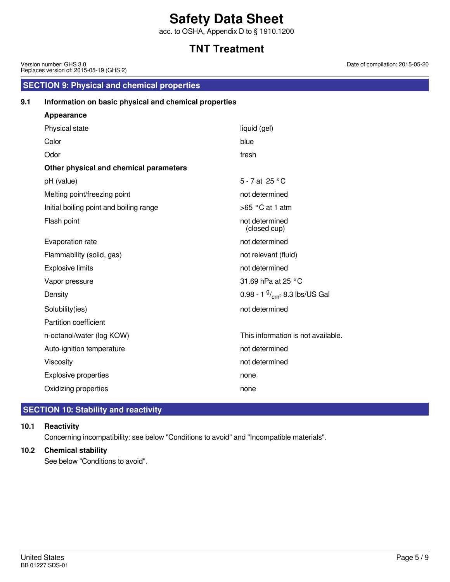acc. to OSHA, Appendix D to § 1910.1200

## **TNT Treatment**

| Version number: GHS 3.0<br>Replaces version of: 2015-05-19 (GHS 2) |                                                       |                                        | Date of compilation: 2015-05 |  |  |
|--------------------------------------------------------------------|-------------------------------------------------------|----------------------------------------|------------------------------|--|--|
|                                                                    | <b>SECTION 9: Physical and chemical properties</b>    |                                        |                              |  |  |
| 9.1                                                                | Information on basic physical and chemical properties |                                        |                              |  |  |
|                                                                    | <b>Appearance</b>                                     |                                        |                              |  |  |
|                                                                    | Physical state                                        | liquid (gel)                           |                              |  |  |
|                                                                    | Color                                                 | blue                                   |                              |  |  |
|                                                                    | Odor                                                  | fresh                                  |                              |  |  |
|                                                                    | Other physical and chemical parameters                |                                        |                              |  |  |
|                                                                    | pH (value)                                            | 5 - 7 at 25 °C                         |                              |  |  |
|                                                                    | Melting point/freezing point                          | not determined                         |                              |  |  |
|                                                                    | Initial boiling point and boiling range               | $>65$ °C at 1 atm                      |                              |  |  |
|                                                                    | Flash point                                           | not determined<br>(closed cup)         |                              |  |  |
|                                                                    | Evaporation rate                                      | not determined                         |                              |  |  |
|                                                                    | Flammability (solid, gas)                             | not relevant (fluid)                   |                              |  |  |
|                                                                    | <b>Explosive limits</b>                               | not determined                         |                              |  |  |
|                                                                    | Vapor pressure                                        | 31.69 hPa at 25 °C                     |                              |  |  |
|                                                                    | Density                                               | 0.98 - 1 $\frac{9}{cm}$ 8.3 lbs/US Gal |                              |  |  |
|                                                                    | Solubility(ies)                                       | not determined                         |                              |  |  |
|                                                                    | Partition coefficient                                 |                                        |                              |  |  |
|                                                                    | n-octanol/water (log KOW)                             | This information is not available.     |                              |  |  |
|                                                                    | Auto-ignition temperature                             | not determined                         |                              |  |  |
|                                                                    | Viscosity                                             | not determined                         |                              |  |  |
|                                                                    | Explosive properties                                  | none                                   |                              |  |  |
|                                                                    | Oxidizing properties                                  | none                                   |                              |  |  |
|                                                                    |                                                       |                                        |                              |  |  |

### **SECTION 10: Stability and reactivity**

### **10.1 Reactivity**

Concerning incompatibility: see below "Conditions to avoid" and "Incompatible materials".

### **10.2 Chemical stability**

See below "Conditions to avoid".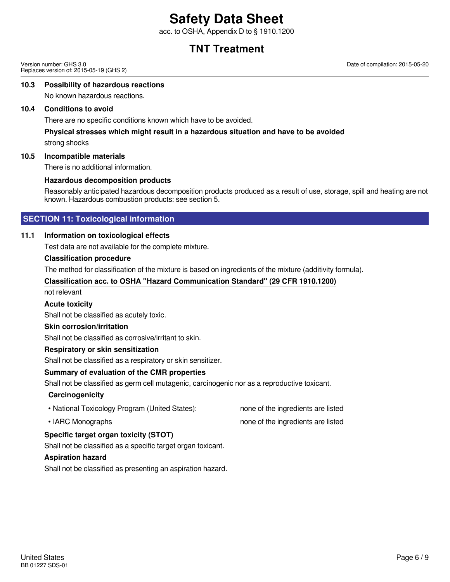acc. to OSHA, Appendix D to § 1910.1200

### **TNT Treatment**

Version number: GHS 3.0 Replaces version of: 2015-05-19 (GHS 2) Date of compilation: 2015-05-20

#### **10.3 Possibility of hazardous reactions**

No known hazardous reactions.

### **10.4 Conditions to avoid**

There are no specific conditions known which have to be avoided.

### **Physical stresses which might result in a hazardous situation and have to be avoided**

strong shocks

### **10.5 Incompatible materials**

There is no additional information.

### **Hazardous decomposition products**

Reasonably anticipated hazardous decomposition products produced as a result of use, storage, spill and heating are not known. Hazardous combustion products: see section 5.

### **SECTION 11: Toxicological information**

### **11.1 Information on toxicological effects**

Test data are not available for the complete mixture.

### **Classification procedure**

The method for classification of the mixture is based on ingredients of the mixture (additivity formula).

### **Classification acc. to OSHA "Hazard Communication Standard" (29 CFR 1910.1200)**

not relevant

#### **Acute toxicity**

Shall not be classified as acutely toxic.

#### **Skin corrosion/irritation**

Shall not be classified as corrosive/irritant to skin.

### **Respiratory or skin sensitization**

Shall not be classified as a respiratory or skin sensitizer.

### **Summary of evaluation of the CMR properties**

Shall not be classified as germ cell mutagenic, carcinogenic nor as a reproductive toxicant.

#### **Carcinogenicity**

- National Toxicology Program (United States): none of the ingredients are listed
- 

### • IARC Monographs **none of the ingredients are listed**

### **Specific target organ toxicity (STOT)**

Shall not be classified as a specific target organ toxicant.

### **Aspiration hazard**

Shall not be classified as presenting an aspiration hazard.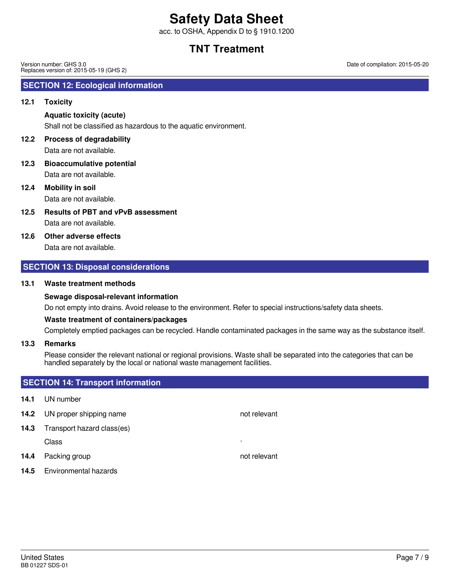acc. to OSHA, Appendix D to § 1910.1200

### **TNT Treatment**

Version number: GHS 3.0 Replaces version of: 2015-05-19 (GHS 2)

### **SECTION 12: Ecological information**

### **12.1 Toxicity**

### **Aquatic toxicity (acute)**

Shall not be classified as hazardous to the aquatic environment.

### **12.2 Process of degradability**

Data are not available.

Data are not available. **12.3 Bioaccumulative potential**

### **12.4 Mobility in soil**

Data are not available.

Data are not available. **12.5 Results of PBT and vPvB assessment**

### **12.6 Other adverse effects**

Data are not available.

### **SECTION 13: Disposal considerations**

### **13.1 Waste treatment methods**

#### **Sewage disposal-relevant information**

Do not empty into drains. Avoid release to the environment. Refer to special instructions/safety data sheets.

#### **Waste treatment of containers/packages**

Completely emptied packages can be recycled. Handle contaminated packages in the same way as the substance itself.

### **13.3 Remarks**

Please consider the relevant national or regional provisions. Waste shall be separated into the categories that can be handled separately by the local or national waste management facilities.

### **SECTION 14: Transport information**

- **14.1** UN number
- **14.2** UN proper shipping name
- **14.3** Transport hazard class(es) Class -

- **14.4** Packing group **not relevant**
- **14.5** Environmental hazards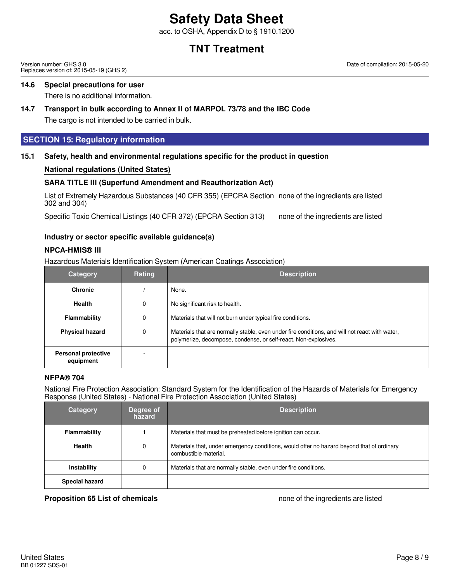acc. to OSHA, Appendix D to § 1910.1200

### **TNT Treatment**

Version number: GHS 3.0 Replaces version of: 2015-05-19 (GHS 2) Date of compilation: 2015-05-20

### **14.6 Special precautions for user**

There is no additional information.

### **14.7 Transport in bulk according to Annex II of MARPOL 73/78 and the IBC Code**

The cargo is not intended to be carried in bulk.

### **SECTION 15: Regulatory information**

### **15.1 Safety, health and environmental regulations specific for the product in question**

### **National regulations (United States)**

### **SARA TITLE III (Superfund Amendment and Reauthorization Act)**

List of Extremely Hazardous Substances (40 CFR 355) (EPCRA Section none of the ingredients are listed 302 and 304)

Specific Toxic Chemical Listings (40 CFR 372) (EPCRA Section 313) none of the ingredients are listed

### **Industry or sector specific available guidance(s)**

### **NPCA-HMIS® III**

Hazardous Materials Identification System (American Coatings Association)

| <b>Category</b>                         | Rating | <b>Description</b>                                                                                                                                                |
|-----------------------------------------|--------|-------------------------------------------------------------------------------------------------------------------------------------------------------------------|
| <b>Chronic</b>                          |        | None.                                                                                                                                                             |
| <b>Health</b>                           | 0      | No significant risk to health.                                                                                                                                    |
| Flammability                            | 0      | Materials that will not burn under typical fire conditions.                                                                                                       |
| <b>Physical hazard</b>                  | 0      | Materials that are normally stable, even under fire conditions, and will not react with water,<br>polymerize, decompose, condense, or self-react. Non-explosives. |
| <b>Personal protective</b><br>equipment |        |                                                                                                                                                                   |

### **NFPA® 704**

National Fire Protection Association: Standard System for the Identification of the Hazards of Materials for Emergency Response (United States) - National Fire Protection Association (United States)

| <b>Category</b>       | Degree of<br>hazard | <b>Description</b>                                                                                                 |
|-----------------------|---------------------|--------------------------------------------------------------------------------------------------------------------|
| Flammability          |                     | Materials that must be preheated before ignition can occur.                                                        |
| <b>Health</b>         | 0                   | Materials that, under emergency conditions, would offer no hazard beyond that of ordinary<br>combustible material. |
| Instability           | 0                   | Materials that are normally stable, even under fire conditions.                                                    |
| <b>Special hazard</b> |                     |                                                                                                                    |

#### **Proposition 65 List of chemicals** none of the ingredients are listed